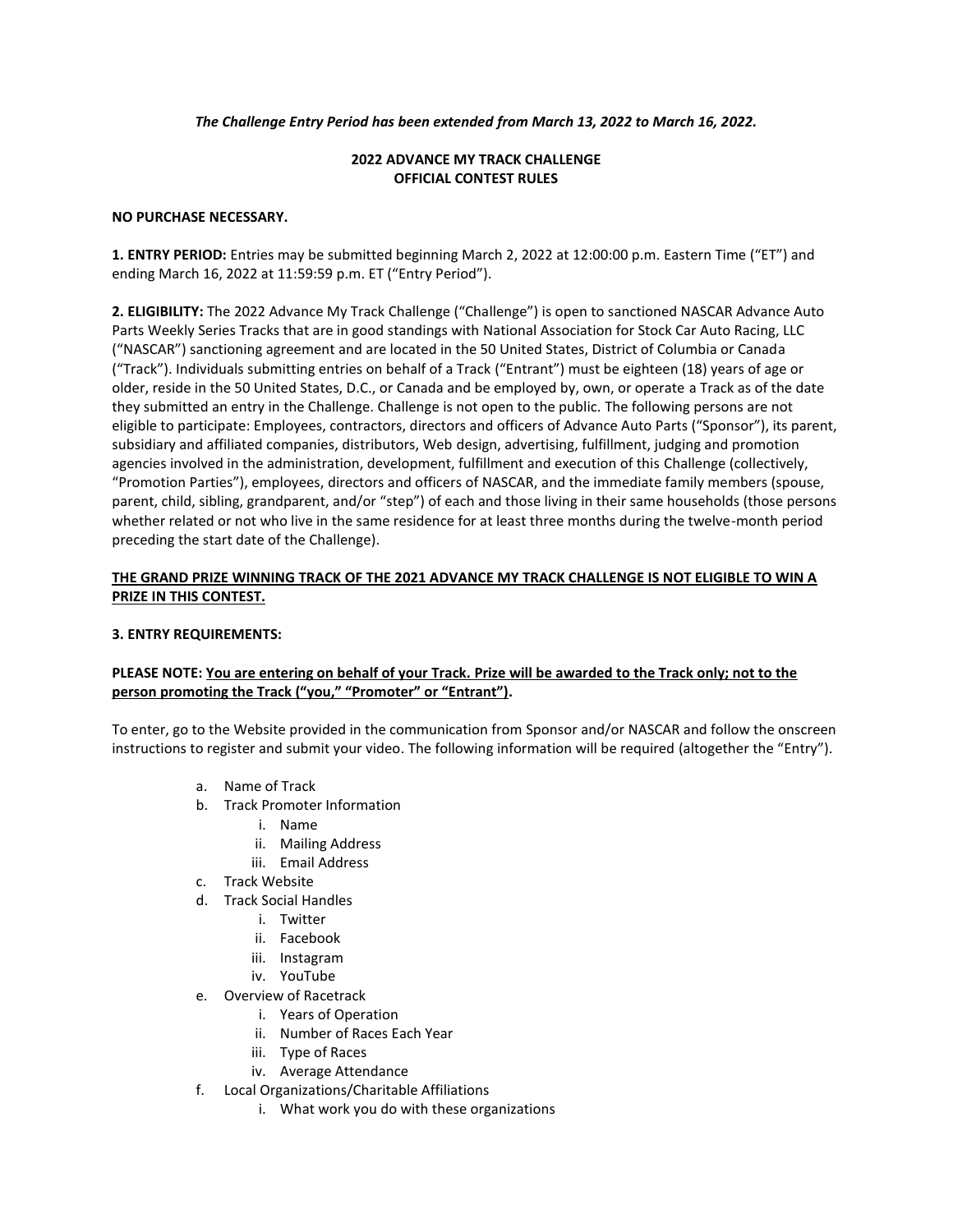#### *The Challenge Entry Period has been extended from March 13, 2022 to March 16, 2022.*

# **2022 ADVANCE MY TRACK CHALLENGE OFFICIAL CONTEST RULES**

#### **NO PURCHASE NECESSARY.**

**1. ENTRY PERIOD:** Entries may be submitted beginning March 2, 2022 at 12:00:00 p.m. Eastern Time ("ET") and ending March 16, 2022 at 11:59:59 p.m. ET ("Entry Period").

**2. ELIGIBILITY:** The 2022 Advance My Track Challenge ("Challenge") is open to sanctioned NASCAR Advance Auto Parts Weekly Series Tracks that are in good standings with National Association for Stock Car Auto Racing, LLC ("NASCAR") sanctioning agreement and are located in the 50 United States, District of Columbia or Canada ("Track"). Individuals submitting entries on behalf of a Track ("Entrant") must be eighteen (18) years of age or older, reside in the 50 United States, D.C., or Canada and be employed by, own, or operate a Track as of the date they submitted an entry in the Challenge. Challenge is not open to the public. The following persons are not eligible to participate: Employees, contractors, directors and officers of Advance Auto Parts ("Sponsor"), its parent, subsidiary and affiliated companies, distributors, Web design, advertising, fulfillment, judging and promotion agencies involved in the administration, development, fulfillment and execution of this Challenge (collectively, "Promotion Parties"), employees, directors and officers of NASCAR, and the immediate family members (spouse, parent, child, sibling, grandparent, and/or "step") of each and those living in their same households (those persons whether related or not who live in the same residence for at least three months during the twelve-month period preceding the start date of the Challenge).

# **THE GRAND PRIZE WINNING TRACK OF THE 2021 ADVANCE MY TRACK CHALLENGE IS NOT ELIGIBLE TO WIN A PRIZE IN THIS CONTEST.**

### **3. ENTRY REQUIREMENTS:**

# **PLEASE NOTE: You are entering on behalf of your Track. Prize will be awarded to the Track only; not to the person promoting the Track ("you," "Promoter" or "Entrant").**

To enter, go to the Website provided in the communication from Sponsor and/or NASCAR and follow the onscreen instructions to register and submit your video. The following information will be required (altogether the "Entry").

- a. Name of Track
- b. Track Promoter Information
	- i. Name
	- ii. Mailing Address
	- iii. Email Address
- c. Track Website
- d. Track Social Handles
	- i. Twitter
	- ii. Facebook
	- iii. Instagram
	- iv. YouTube
- e. Overview of Racetrack
	- i. Years of Operation
	- ii. Number of Races Each Year
	- iii. Type of Races
	- iv. Average Attendance
- f. Local Organizations/Charitable Affiliations
	- i. What work you do with these organizations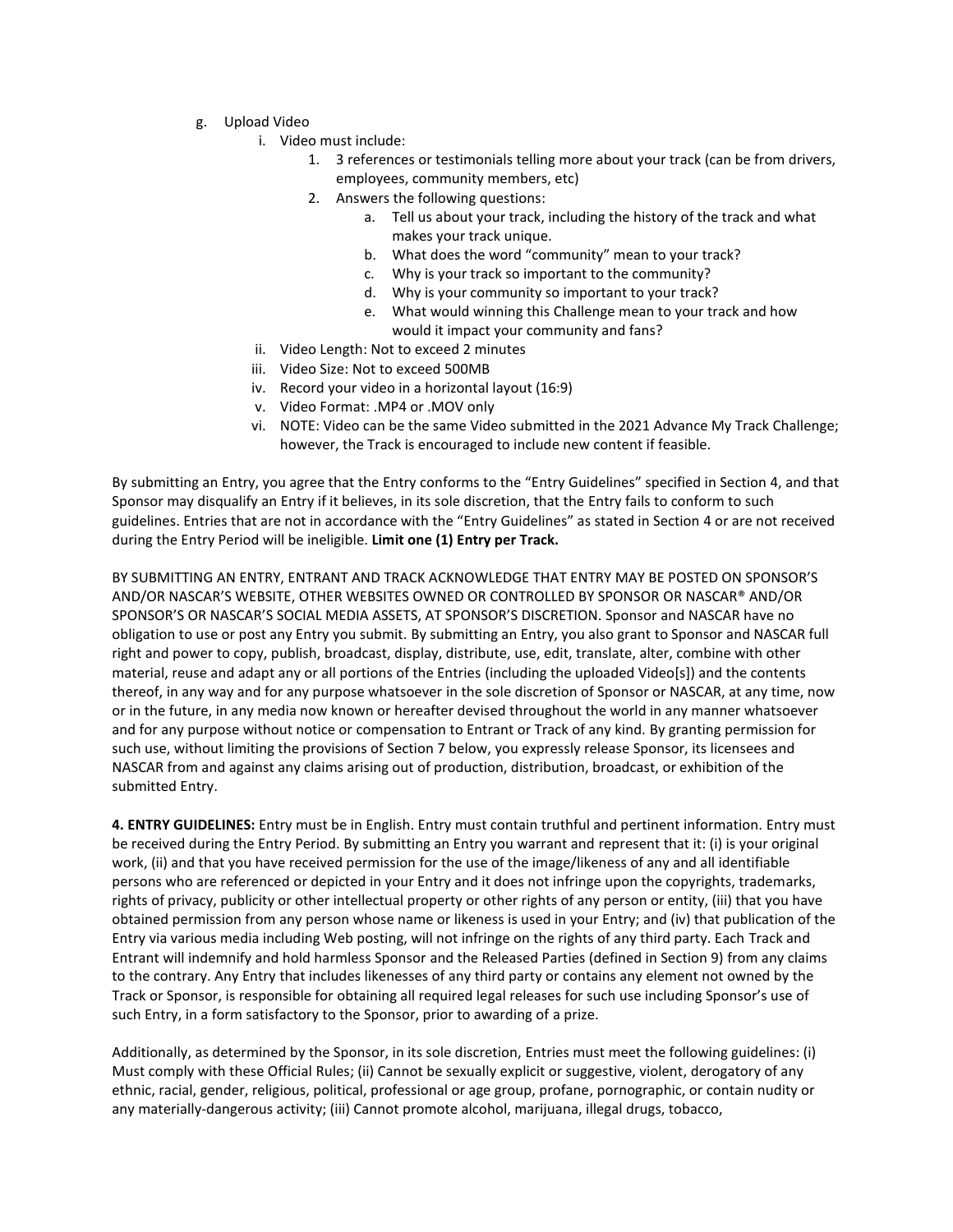- g. Upload Video
	- i. Video must include:
		- 1. 3 references or testimonials telling more about your track (can be from drivers, employees, community members, etc)
		- 2. Answers the following questions:
			- a. Tell us about your track, including the history of the track and what makes your track unique.
			- b. What does the word "community" mean to your track?
			- c. Why is your track so important to the community?
			- d. Why is your community so important to your track?
			- e. What would winning this Challenge mean to your track and how would it impact your community and fans?
	- ii. Video Length: Not to exceed 2 minutes
	- iii. Video Size: Not to exceed 500MB
	- iv. Record your video in a horizontal layout (16:9)
	- v. Video Format: .MP4 or .MOV only
	- vi. NOTE: Video can be the same Video submitted in the 2021 Advance My Track Challenge; however, the Track is encouraged to include new content if feasible.

By submitting an Entry, you agree that the Entry conforms to the "Entry Guidelines" specified in Section 4, and that Sponsor may disqualify an Entry if it believes, in its sole discretion, that the Entry fails to conform to such guidelines. Entries that are not in accordance with the "Entry Guidelines" as stated in Section 4 or are not received during the Entry Period will be ineligible. **Limit one (1) Entry per Track.**

BY SUBMITTING AN ENTRY, ENTRANT AND TRACK ACKNOWLEDGE THAT ENTRY MAY BE POSTED ON SPONSOR'S AND/OR NASCAR'S WEBSITE, OTHER WEBSITES OWNED OR CONTROLLED BY SPONSOR OR NASCAR® AND/OR SPONSOR'S OR NASCAR'S SOCIAL MEDIA ASSETS, AT SPONSOR'S DISCRETION. Sponsor and NASCAR have no obligation to use or post any Entry you submit. By submitting an Entry, you also grant to Sponsor and NASCAR full right and power to copy, publish, broadcast, display, distribute, use, edit, translate, alter, combine with other material, reuse and adapt any or all portions of the Entries (including the uploaded Video[s]) and the contents thereof, in any way and for any purpose whatsoever in the sole discretion of Sponsor or NASCAR, at any time, now or in the future, in any media now known or hereafter devised throughout the world in any manner whatsoever and for any purpose without notice or compensation to Entrant or Track of any kind. By granting permission for such use, without limiting the provisions of Section 7 below, you expressly release Sponsor, its licensees and NASCAR from and against any claims arising out of production, distribution, broadcast, or exhibition of the submitted Entry.

**4. ENTRY GUIDELINES:** Entry must be in English. Entry must contain truthful and pertinent information. Entry must be received during the Entry Period. By submitting an Entry you warrant and represent that it: (i) is your original work, (ii) and that you have received permission for the use of the image/likeness of any and all identifiable persons who are referenced or depicted in your Entry and it does not infringe upon the copyrights, trademarks, rights of privacy, publicity or other intellectual property or other rights of any person or entity, (iii) that you have obtained permission from any person whose name or likeness is used in your Entry; and (iv) that publication of the Entry via various media including Web posting, will not infringe on the rights of any third party. Each Track and Entrant will indemnify and hold harmless Sponsor and the Released Parties (defined in Section 9) from any claims to the contrary. Any Entry that includes likenesses of any third party or contains any element not owned by the Track or Sponsor, is responsible for obtaining all required legal releases for such use including Sponsor's use of such Entry, in a form satisfactory to the Sponsor, prior to awarding of a prize.

Additionally, as determined by the Sponsor, in its sole discretion, Entries must meet the following guidelines: (i) Must comply with these Official Rules; (ii) Cannot be sexually explicit or suggestive, violent, derogatory of any ethnic, racial, gender, religious, political, professional or age group, profane, pornographic, or contain nudity or any materially-dangerous activity; (iii) Cannot promote alcohol, marijuana, illegal drugs, tobacco,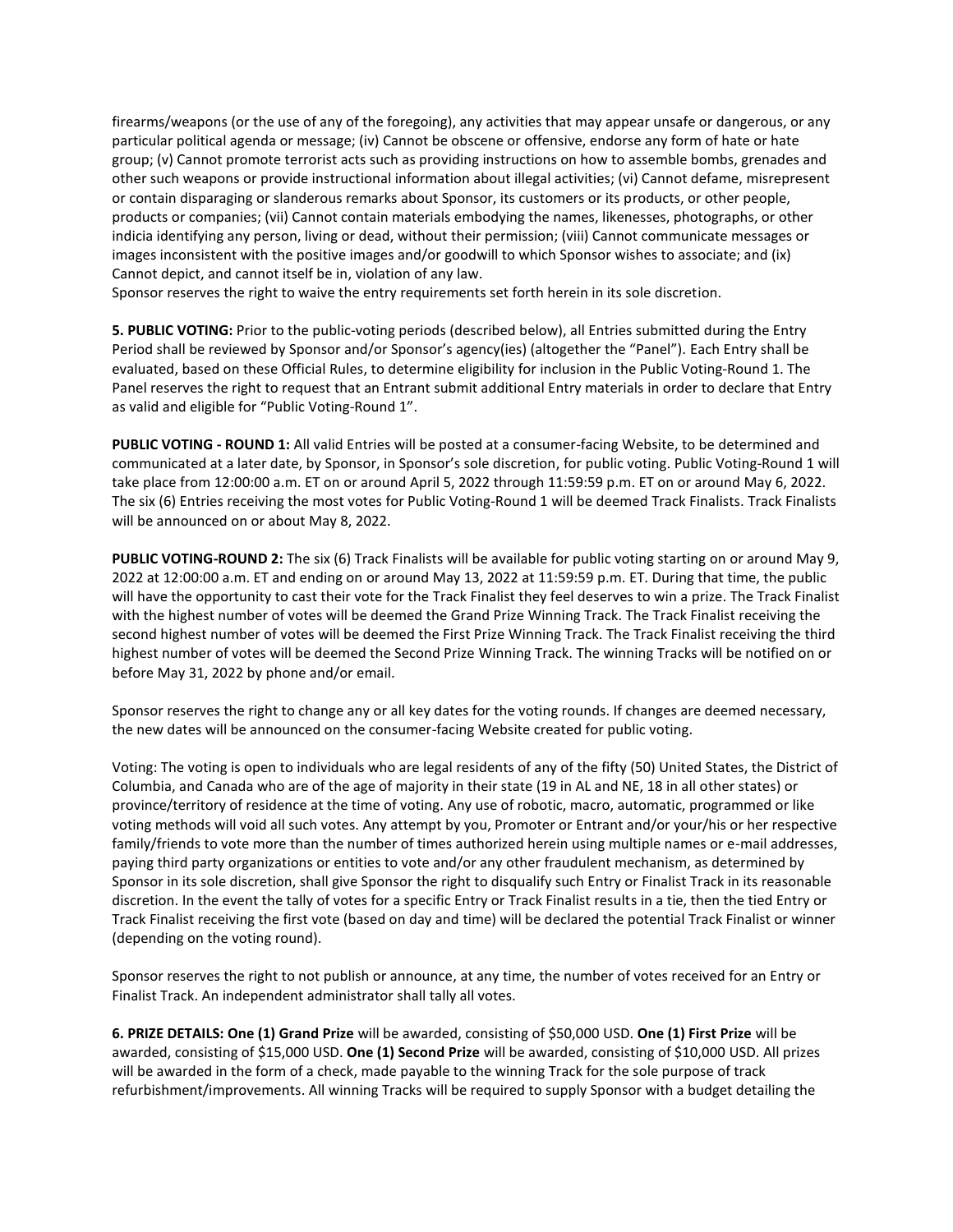firearms/weapons (or the use of any of the foregoing), any activities that may appear unsafe or dangerous, or any particular political agenda or message; (iv) Cannot be obscene or offensive, endorse any form of hate or hate group; (v) Cannot promote terrorist acts such as providing instructions on how to assemble bombs, grenades and other such weapons or provide instructional information about illegal activities; (vi) Cannot defame, misrepresent or contain disparaging or slanderous remarks about Sponsor, its customers or its products, or other people, products or companies; (vii) Cannot contain materials embodying the names, likenesses, photographs, or other indicia identifying any person, living or dead, without their permission; (viii) Cannot communicate messages or images inconsistent with the positive images and/or goodwill to which Sponsor wishes to associate; and (ix) Cannot depict, and cannot itself be in, violation of any law.

Sponsor reserves the right to waive the entry requirements set forth herein in its sole discretion.

**5. PUBLIC VOTING:** Prior to the public-voting periods (described below), all Entries submitted during the Entry Period shall be reviewed by Sponsor and/or Sponsor's agency(ies) (altogether the "Panel"). Each Entry shall be evaluated, based on these Official Rules, to determine eligibility for inclusion in the Public Voting-Round 1. The Panel reserves the right to request that an Entrant submit additional Entry materials in order to declare that Entry as valid and eligible for "Public Voting-Round 1".

**PUBLIC VOTING - ROUND 1:** All valid Entries will be posted at a consumer-facing Website, to be determined and communicated at a later date, by Sponsor, in Sponsor's sole discretion, for public voting. Public Voting-Round 1 will take place from 12:00:00 a.m. ET on or around April 5, 2022 through 11:59:59 p.m. ET on or around May 6, 2022. The six (6) Entries receiving the most votes for Public Voting-Round 1 will be deemed Track Finalists. Track Finalists will be announced on or about May 8, 2022.

**PUBLIC VOTING-ROUND 2:** The six (6) Track Finalists will be available for public voting starting on or around May 9, 2022 at 12:00:00 a.m. ET and ending on or around May 13, 2022 at 11:59:59 p.m. ET. During that time, the public will have the opportunity to cast their vote for the Track Finalist they feel deserves to win a prize. The Track Finalist with the highest number of votes will be deemed the Grand Prize Winning Track. The Track Finalist receiving the second highest number of votes will be deemed the First Prize Winning Track. The Track Finalist receiving the third highest number of votes will be deemed the Second Prize Winning Track. The winning Tracks will be notified on or before May 31, 2022 by phone and/or email.

Sponsor reserves the right to change any or all key dates for the voting rounds. If changes are deemed necessary, the new dates will be announced on the consumer-facing Website created for public voting.

Voting: The voting is open to individuals who are legal residents of any of the fifty (50) United States, the District of Columbia, and Canada who are of the age of majority in their state (19 in AL and NE, 18 in all other states) or province/territory of residence at the time of voting. Any use of robotic, macro, automatic, programmed or like voting methods will void all such votes. Any attempt by you, Promoter or Entrant and/or your/his or her respective family/friends to vote more than the number of times authorized herein using multiple names or e-mail addresses, paying third party organizations or entities to vote and/or any other fraudulent mechanism, as determined by Sponsor in its sole discretion, shall give Sponsor the right to disqualify such Entry or Finalist Track in its reasonable discretion. In the event the tally of votes for a specific Entry or Track Finalist results in a tie, then the tied Entry or Track Finalist receiving the first vote (based on day and time) will be declared the potential Track Finalist or winner (depending on the voting round).

Sponsor reserves the right to not publish or announce, at any time, the number of votes received for an Entry or Finalist Track. An independent administrator shall tally all votes.

**6. PRIZE DETAILS: One (1) Grand Prize** will be awarded, consisting of \$50,000 USD. **One (1) First Prize** will be awarded, consisting of \$15,000 USD. **One (1) Second Prize** will be awarded, consisting of \$10,000 USD. All prizes will be awarded in the form of a check, made payable to the winning Track for the sole purpose of track refurbishment/improvements. All winning Tracks will be required to supply Sponsor with a budget detailing the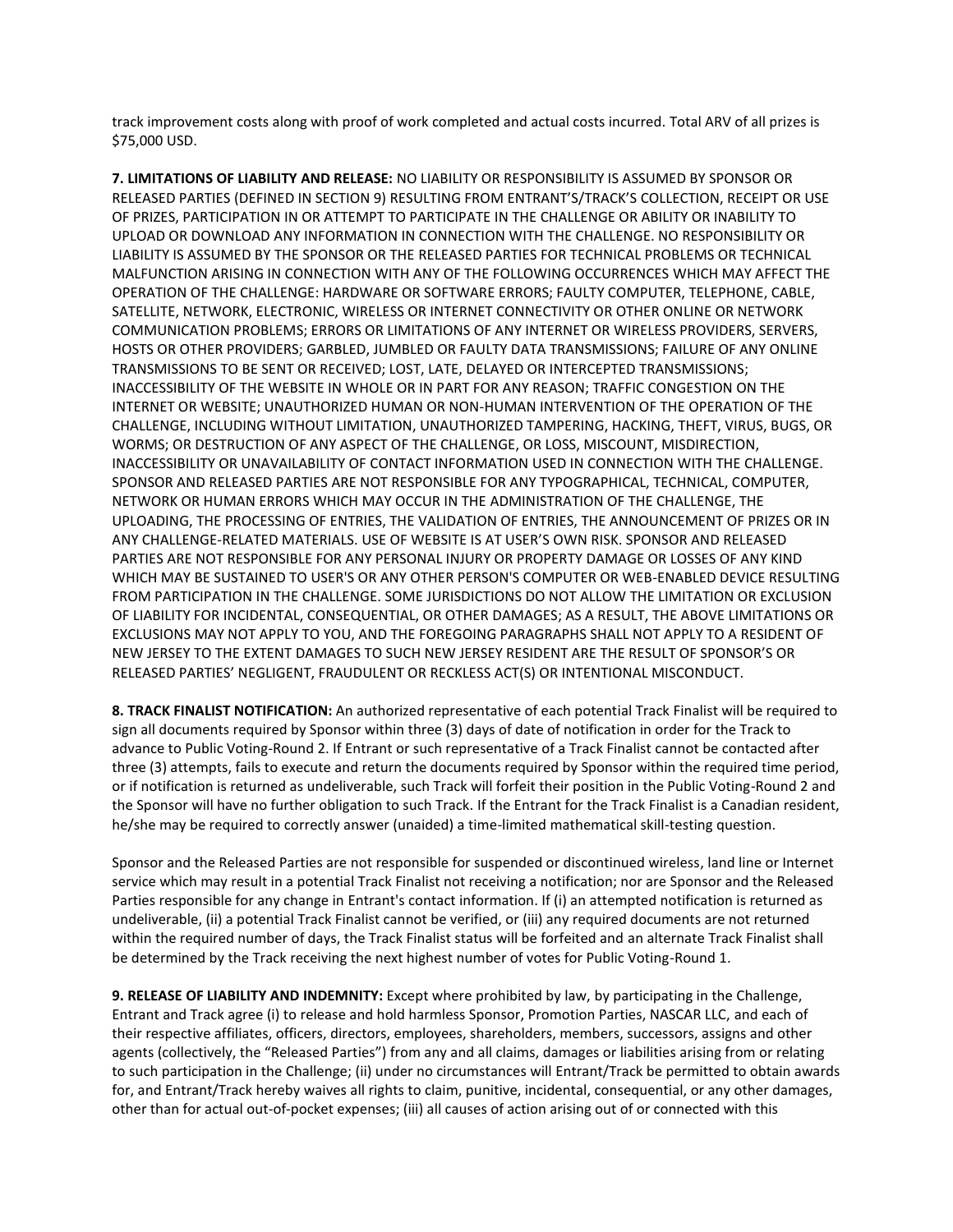track improvement costs along with proof of work completed and actual costs incurred. Total ARV of all prizes is \$75,000 USD.

**7. LIMITATIONS OF LIABILITY AND RELEASE:** NO LIABILITY OR RESPONSIBILITY IS ASSUMED BY SPONSOR OR RELEASED PARTIES (DEFINED IN SECTION 9) RESULTING FROM ENTRANT'S/TRACK'S COLLECTION, RECEIPT OR USE OF PRIZES, PARTICIPATION IN OR ATTEMPT TO PARTICIPATE IN THE CHALLENGE OR ABILITY OR INABILITY TO UPLOAD OR DOWNLOAD ANY INFORMATION IN CONNECTION WITH THE CHALLENGE. NO RESPONSIBILITY OR LIABILITY IS ASSUMED BY THE SPONSOR OR THE RELEASED PARTIES FOR TECHNICAL PROBLEMS OR TECHNICAL MALFUNCTION ARISING IN CONNECTION WITH ANY OF THE FOLLOWING OCCURRENCES WHICH MAY AFFECT THE OPERATION OF THE CHALLENGE: HARDWARE OR SOFTWARE ERRORS; FAULTY COMPUTER, TELEPHONE, CABLE, SATELLITE, NETWORK, ELECTRONIC, WIRELESS OR INTERNET CONNECTIVITY OR OTHER ONLINE OR NETWORK COMMUNICATION PROBLEMS; ERRORS OR LIMITATIONS OF ANY INTERNET OR WIRELESS PROVIDERS, SERVERS, HOSTS OR OTHER PROVIDERS; GARBLED, JUMBLED OR FAULTY DATA TRANSMISSIONS; FAILURE OF ANY ONLINE TRANSMISSIONS TO BE SENT OR RECEIVED; LOST, LATE, DELAYED OR INTERCEPTED TRANSMISSIONS; INACCESSIBILITY OF THE WEBSITE IN WHOLE OR IN PART FOR ANY REASON; TRAFFIC CONGESTION ON THE INTERNET OR WEBSITE; UNAUTHORIZED HUMAN OR NON-HUMAN INTERVENTION OF THE OPERATION OF THE CHALLENGE, INCLUDING WITHOUT LIMITATION, UNAUTHORIZED TAMPERING, HACKING, THEFT, VIRUS, BUGS, OR WORMS; OR DESTRUCTION OF ANY ASPECT OF THE CHALLENGE, OR LOSS, MISCOUNT, MISDIRECTION, INACCESSIBILITY OR UNAVAILABILITY OF CONTACT INFORMATION USED IN CONNECTION WITH THE CHALLENGE. SPONSOR AND RELEASED PARTIES ARE NOT RESPONSIBLE FOR ANY TYPOGRAPHICAL, TECHNICAL, COMPUTER, NETWORK OR HUMAN ERRORS WHICH MAY OCCUR IN THE ADMINISTRATION OF THE CHALLENGE, THE UPLOADING, THE PROCESSING OF ENTRIES, THE VALIDATION OF ENTRIES, THE ANNOUNCEMENT OF PRIZES OR IN ANY CHALLENGE-RELATED MATERIALS. USE OF WEBSITE IS AT USER'S OWN RISK. SPONSOR AND RELEASED PARTIES ARE NOT RESPONSIBLE FOR ANY PERSONAL INJURY OR PROPERTY DAMAGE OR LOSSES OF ANY KIND WHICH MAY BE SUSTAINED TO USER'S OR ANY OTHER PERSON'S COMPUTER OR WEB-ENABLED DEVICE RESULTING FROM PARTICIPATION IN THE CHALLENGE. SOME JURISDICTIONS DO NOT ALLOW THE LIMITATION OR EXCLUSION OF LIABILITY FOR INCIDENTAL, CONSEQUENTIAL, OR OTHER DAMAGES; AS A RESULT, THE ABOVE LIMITATIONS OR EXCLUSIONS MAY NOT APPLY TO YOU, AND THE FOREGOING PARAGRAPHS SHALL NOT APPLY TO A RESIDENT OF NEW JERSEY TO THE EXTENT DAMAGES TO SUCH NEW JERSEY RESIDENT ARE THE RESULT OF SPONSOR'S OR RELEASED PARTIES' NEGLIGENT, FRAUDULENT OR RECKLESS ACT(S) OR INTENTIONAL MISCONDUCT.

**8. TRACK FINALIST NOTIFICATION:** An authorized representative of each potential Track Finalist will be required to sign all documents required by Sponsor within three (3) days of date of notification in order for the Track to advance to Public Voting-Round 2. If Entrant or such representative of a Track Finalist cannot be contacted after three (3) attempts, fails to execute and return the documents required by Sponsor within the required time period, or if notification is returned as undeliverable, such Track will forfeit their position in the Public Voting-Round 2 and the Sponsor will have no further obligation to such Track. If the Entrant for the Track Finalist is a Canadian resident, he/she may be required to correctly answer (unaided) a time-limited mathematical skill-testing question.

Sponsor and the Released Parties are not responsible for suspended or discontinued wireless, land line or Internet service which may result in a potential Track Finalist not receiving a notification; nor are Sponsor and the Released Parties responsible for any change in Entrant's contact information. If (i) an attempted notification is returned as undeliverable, (ii) a potential Track Finalist cannot be verified, or (iii) any required documents are not returned within the required number of days, the Track Finalist status will be forfeited and an alternate Track Finalist shall be determined by the Track receiving the next highest number of votes for Public Voting-Round 1.

**9. RELEASE OF LIABILITY AND INDEMNITY:** Except where prohibited by law, by participating in the Challenge, Entrant and Track agree (i) to release and hold harmless Sponsor, Promotion Parties, NASCAR LLC, and each of their respective affiliates, officers, directors, employees, shareholders, members, successors, assigns and other agents (collectively, the "Released Parties") from any and all claims, damages or liabilities arising from or relating to such participation in the Challenge; (ii) under no circumstances will Entrant/Track be permitted to obtain awards for, and Entrant/Track hereby waives all rights to claim, punitive, incidental, consequential, or any other damages, other than for actual out-of-pocket expenses; (iii) all causes of action arising out of or connected with this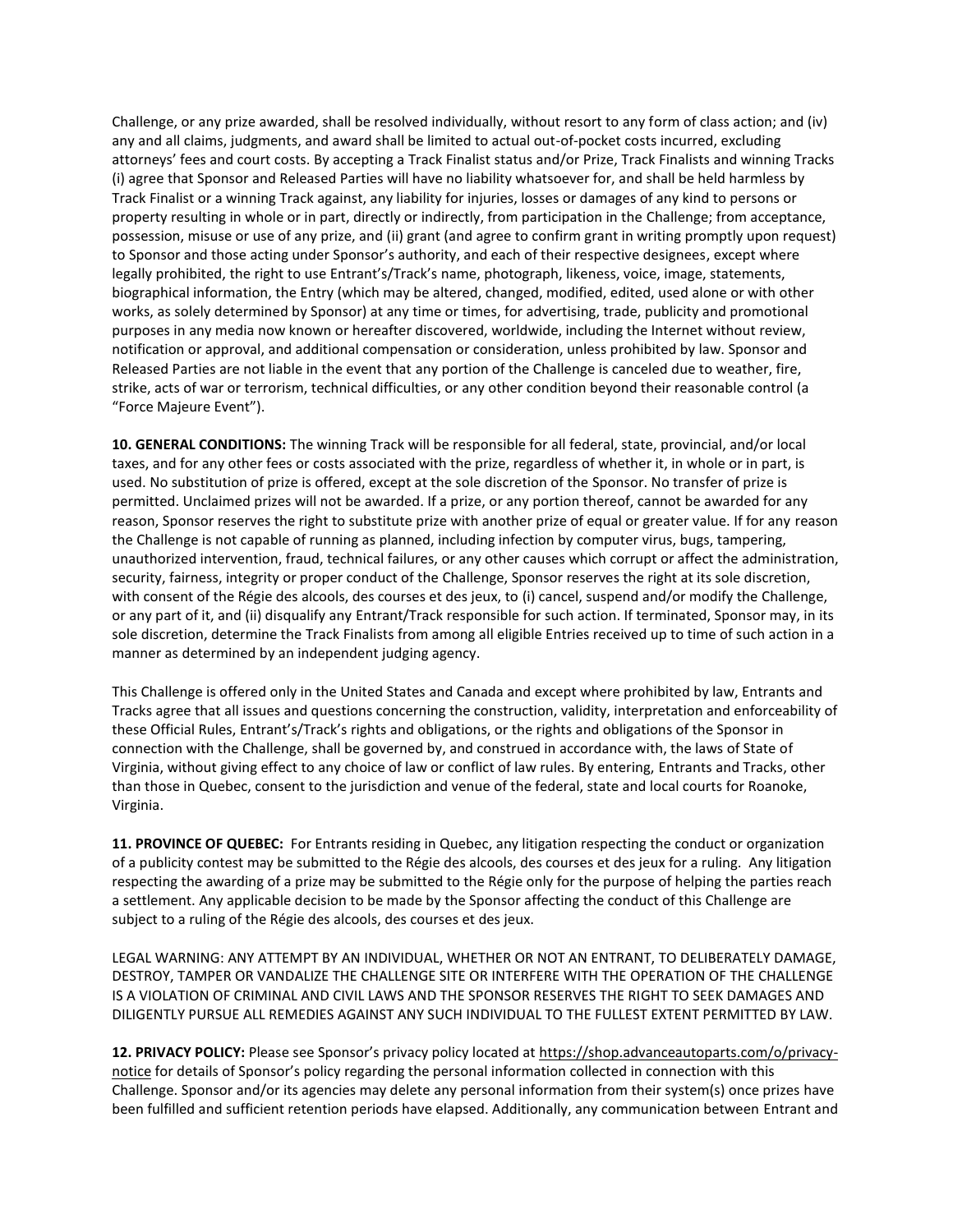Challenge, or any prize awarded, shall be resolved individually, without resort to any form of class action; and (iv) any and all claims, judgments, and award shall be limited to actual out-of-pocket costs incurred, excluding attorneys' fees and court costs. By accepting a Track Finalist status and/or Prize, Track Finalists and winning Tracks (i) agree that Sponsor and Released Parties will have no liability whatsoever for, and shall be held harmless by Track Finalist or a winning Track against, any liability for injuries, losses or damages of any kind to persons or property resulting in whole or in part, directly or indirectly, from participation in the Challenge; from acceptance, possession, misuse or use of any prize, and (ii) grant (and agree to confirm grant in writing promptly upon request) to Sponsor and those acting under Sponsor's authority, and each of their respective designees, except where legally prohibited, the right to use Entrant's/Track's name, photograph, likeness, voice, image, statements, biographical information, the Entry (which may be altered, changed, modified, edited, used alone or with other works, as solely determined by Sponsor) at any time or times, for advertising, trade, publicity and promotional purposes in any media now known or hereafter discovered, worldwide, including the Internet without review, notification or approval, and additional compensation or consideration, unless prohibited by law. Sponsor and Released Parties are not liable in the event that any portion of the Challenge is canceled due to weather, fire, strike, acts of war or terrorism, technical difficulties, or any other condition beyond their reasonable control (a "Force Majeure Event").

**10. GENERAL CONDITIONS:** The winning Track will be responsible for all federal, state, provincial, and/or local taxes, and for any other fees or costs associated with the prize, regardless of whether it, in whole or in part, is used. No substitution of prize is offered, except at the sole discretion of the Sponsor. No transfer of prize is permitted. Unclaimed prizes will not be awarded. If a prize, or any portion thereof, cannot be awarded for any reason, Sponsor reserves the right to substitute prize with another prize of equal or greater value. If for any reason the Challenge is not capable of running as planned, including infection by computer virus, bugs, tampering, unauthorized intervention, fraud, technical failures, or any other causes which corrupt or affect the administration, security, fairness, integrity or proper conduct of the Challenge, Sponsor reserves the right at its sole discretion, with consent of the Régie des alcools, des courses et des jeux, to (i) cancel, suspend and/or modify the Challenge, or any part of it, and (ii) disqualify any Entrant/Track responsible for such action. If terminated, Sponsor may, in its sole discretion, determine the Track Finalists from among all eligible Entries received up to time of such action in a manner as determined by an independent judging agency.

This Challenge is offered only in the United States and Canada and except where prohibited by law, Entrants and Tracks agree that all issues and questions concerning the construction, validity, interpretation and enforceability of these Official Rules, Entrant's/Track's rights and obligations, or the rights and obligations of the Sponsor in connection with the Challenge, shall be governed by, and construed in accordance with, the laws of State of Virginia, without giving effect to any choice of law or conflict of law rules. By entering, Entrants and Tracks, other than those in Quebec, consent to the jurisdiction and venue of the federal, state and local courts for Roanoke, Virginia.

**11. PROVINCE OF QUEBEC:** For Entrants residing in Quebec, any litigation respecting the conduct or organization of a publicity contest may be submitted to the Régie des alcools, des courses et des jeux for a ruling. Any litigation respecting the awarding of a prize may be submitted to the Régie only for the purpose of helping the parties reach a settlement. Any applicable decision to be made by the Sponsor affecting the conduct of this Challenge are subject to a ruling of the Régie des alcools, des courses et des jeux.

LEGAL WARNING: ANY ATTEMPT BY AN INDIVIDUAL, WHETHER OR NOT AN ENTRANT, TO DELIBERATELY DAMAGE, DESTROY, TAMPER OR VANDALIZE THE CHALLENGE SITE OR INTERFERE WITH THE OPERATION OF THE CHALLENGE IS A VIOLATION OF CRIMINAL AND CIVIL LAWS AND THE SPONSOR RESERVES THE RIGHT TO SEEK DAMAGES AND DILIGENTLY PURSUE ALL REMEDIES AGAINST ANY SUCH INDIVIDUAL TO THE FULLEST EXTENT PERMITTED BY LAW.

**12. PRIVACY POLICY:** Please see Sponsor's privacy policy located at [https://shop.advanceautoparts.com/o/privacy](https://shop.advanceautoparts.com/o/privacy-notice)[notice](https://shop.advanceautoparts.com/o/privacy-notice) for details of Sponsor's policy regarding the personal information collected in connection with this Challenge. Sponsor and/or its agencies may delete any personal information from their system(s) once prizes have been fulfilled and sufficient retention periods have elapsed. Additionally, any communication between Entrant and